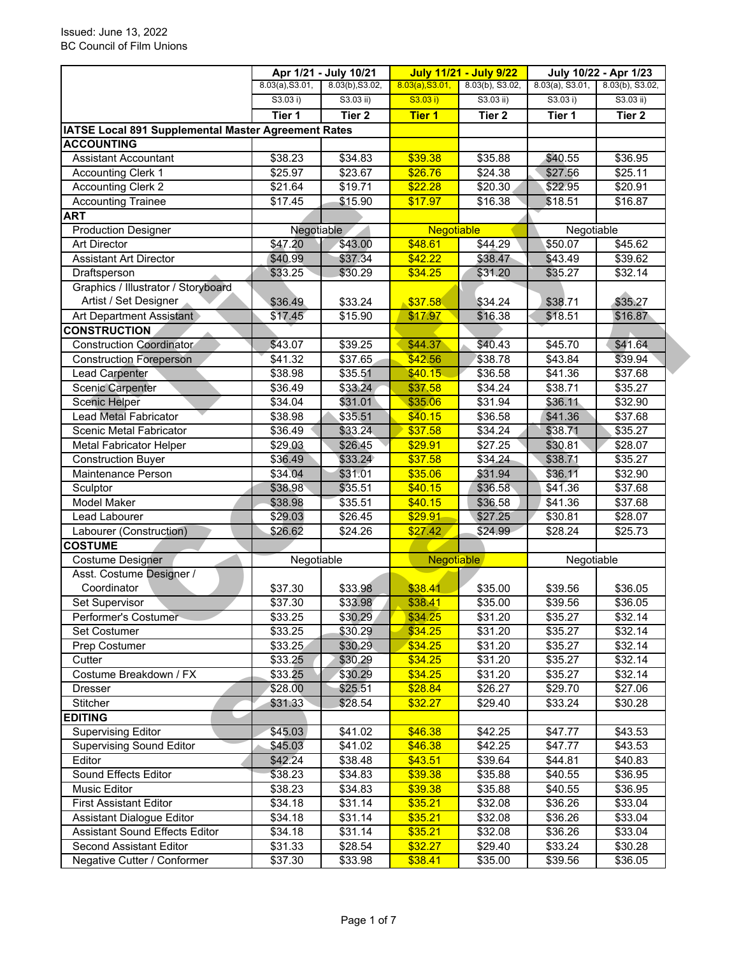|                                                     |                 | Apr 1/21 - July 10/21 | <b>July 11/21 - July 9/22</b> |                   | July 10/22 - Apr 1/23 |                     |
|-----------------------------------------------------|-----------------|-----------------------|-------------------------------|-------------------|-----------------------|---------------------|
|                                                     | 8.03(a), S3.01, | 8.03(b), S3.02,       | 8.03(a), S3.01,               | 8.03(b), S3.02,   | $8.03(a)$ , S3.01,    | 8.03(b), S3.02,     |
|                                                     | S3.03 i)        | S3.03 ii)             | S3.03 i)                      | $S3.03$ ii)       | S3.03 i)              | $S3.03$ ii)         |
|                                                     | Tier 1          | Tier <sub>2</sub>     | <b>Tier 1</b>                 | Tier <sub>2</sub> | Tier 1                | Tier 2              |
| IATSE Local 891 Supplemental Master Agreement Rates |                 |                       |                               |                   |                       |                     |
| <b>ACCOUNTING</b>                                   |                 |                       |                               |                   |                       |                     |
| <b>Assistant Accountant</b>                         | \$38.23         | \$34.83               | \$39.38                       | \$35.88           | \$40.55               | \$36.95             |
| <b>Accounting Clerk 1</b>                           | \$25.97         | \$23.67               | \$26.76                       | \$24.38           | \$27.56               | $\overline{$25.11}$ |
| <b>Accounting Clerk 2</b>                           | \$21.64         | \$19.71               | \$22.28                       | \$20.30           | \$22.95               | \$20.91             |
| <b>Accounting Trainee</b>                           | \$17.45         | \$15.90               | \$17.97                       | \$16.38           | \$18.51               | \$16.87             |
| <b>ART</b>                                          |                 |                       |                               |                   |                       |                     |
| <b>Production Designer</b>                          | Negotiable      |                       | <b>Negotiable</b>             |                   | Negotiable            |                     |
| <b>Art Director</b>                                 | \$47.20         | \$43.00               | \$48.61                       | \$44.29           | \$50.07               | \$45.62             |
| <b>Assistant Art Director</b>                       | \$40.99         | \$37.34               | \$42.22                       | \$38.47           | \$43.49               | \$39.62             |
| Draftsperson                                        | \$33.25         | \$30.29               | \$34.25                       | \$31.20           | \$35.27               | \$32.14             |
| Graphics / Illustrator / Storyboard                 |                 |                       |                               |                   |                       |                     |
| Artist / Set Designer                               | \$36.49         | \$33.24               | \$37.58                       | \$34.24           | \$38.71               | \$35.27             |
| Art Department Assistant                            | \$17.45         | \$15.90               | \$17.97                       | \$16.38           | \$18.51               | \$16.87             |
| <b>CONSTRUCTION</b>                                 |                 |                       |                               |                   |                       |                     |
| <b>Construction Coordinator</b>                     | \$43.07         | \$39.25               | \$44.37                       | \$40.43           | \$45.70               | \$41.64             |
| <b>Construction Foreperson</b>                      | \$41.32         | \$37.65               | \$42.56                       | \$38.78           | \$43.84               | \$39.94             |
| <b>Lead Carpenter</b>                               | \$38.98         | \$35.51               | \$40.15                       | \$36.58           | \$41.36               | \$37.68             |
| <b>Scenic Carpenter</b>                             | \$36.49         | \$33.24               | \$37.58                       | \$34.24           | \$38.71               | \$35.27             |
| Scenic Helper                                       | \$34.04         | \$31.01               | \$35.06                       | \$31.94           | \$36.11               | \$32.90             |
| Lead Metal Fabricator                               | \$38.98         | \$35.51               | \$40.15                       | \$36.58           | \$41.36               | \$37.68             |
| Scenic Metal Fabricator                             | \$36.49         | \$33.24               | \$37.58                       | \$34.24           | \$38.71               | \$35.27             |
| <b>Metal Fabricator Helper</b>                      | \$29.03         | \$26.45               | \$29.91                       | \$27.25           | \$30.81               | \$28.07             |
| <b>Construction Buyer</b>                           | \$36.49         | \$33.24               | \$37.58                       | \$34.24           | \$38.71               | \$35.27             |
| Maintenance Person                                  | \$34.04         | \$31.01               | \$35.06                       | \$31.94           | \$36.11               | \$32.90             |
| Sculptor                                            | \$38.98         | \$35.51               | \$40.15                       | \$36.58           | \$41.36               | \$37.68             |
| Model Maker                                         | \$38.98         | \$35.51               | \$40.15                       | \$36.58           | \$41.36               | \$37.68             |
| Lead Labourer                                       | \$29.03         | \$26.45               | \$29.91                       | \$27.25           | \$30.81               | \$28.07             |
| Labourer (Construction)                             | \$26.62         | \$24.26               | \$27.42                       | \$24.99           | \$28.24               | \$25.73             |
| <b>COSTUME</b>                                      |                 |                       |                               |                   |                       |                     |
| Costume Designer                                    | Negotiable      |                       | Negotiable                    |                   | Negotiable            |                     |
| Asst. Costume Designer /                            |                 |                       |                               |                   |                       |                     |
| Coordinator                                         | \$37.30         | \$33.98               | \$38.41                       | \$35.00           | \$39.56               | \$36.05             |
| <b>Set Supervisor</b>                               | \$37.30         | \$33.98               | \$38.41                       | \$35.00           | \$39.56               | \$36.05             |
| Performer's Costumer                                | \$33.25         | \$30.29               | \$34.25                       | \$31.20           | \$35.27               | \$32.14             |
| Set Costumer                                        | \$33.25         | \$30.29               | \$34.25                       | \$31.20           | \$35.27               | \$32.14             |
| Prep Costumer                                       | \$33.25         | \$30.29               | \$34.25                       | \$31.20           | \$35.27               | \$32.14             |
| Cutter                                              | \$33.25         | \$30.29               | \$34.25                       | \$31.20           | \$35.27               | \$32.14             |
| Costume Breakdown / FX                              | \$33.25         | \$30.29               | \$34.25                       | \$31.20           | \$35.27               | \$32.14             |
| <b>Dresser</b>                                      | \$28.00         | \$25.51               | \$28.84                       | \$26.27           | \$29.70               | \$27.06             |
| Stitcher                                            | \$31.33         | \$28.54               | \$32.27                       | \$29.40           | \$33.24               | \$30.28             |
| <b>EDITING</b>                                      |                 |                       |                               |                   |                       |                     |
| <b>Supervising Editor</b>                           | \$45.03         | \$41.02               | \$46.38                       | \$42.25           | \$47.77               | \$43.53             |
| <b>Supervising Sound Editor</b>                     | \$45.03         | \$41.02               | \$46.38                       | \$42.25           | \$47.77               | \$43.53             |
| Editor                                              | \$42.24         | \$38.48               | \$43.51                       | \$39.64           | \$44.81               | \$40.83             |
| Sound Effects Editor                                | \$38.23         | \$34.83               | \$39.38                       | \$35.88           | \$40.55               | \$36.95             |
| Music Editor                                        | \$38.23         | \$34.83               | \$39.38                       | \$35.88           | \$40.55               | \$36.95             |
| <b>First Assistant Editor</b>                       | \$34.18         | \$31.14               | \$35.21                       | \$32.08           | \$36.26               | \$33.04             |
| <b>Assistant Dialogue Editor</b>                    | \$34.18         | \$31.14               | \$35.21                       | \$32.08           | \$36.26               | \$33.04             |
| <b>Assistant Sound Effects Editor</b>               | \$34.18         | \$31.14               | \$35.21                       | \$32.08           | \$36.26               | \$33.04             |
| Second Assistant Editor                             | \$31.33         | \$28.54               | \$32.27                       | \$29.40           | \$33.24               | \$30.28             |
| Negative Cutter / Conformer                         | \$37.30         | \$33.98               | \$38.41                       | \$35.00           | \$39.56               | \$36.05             |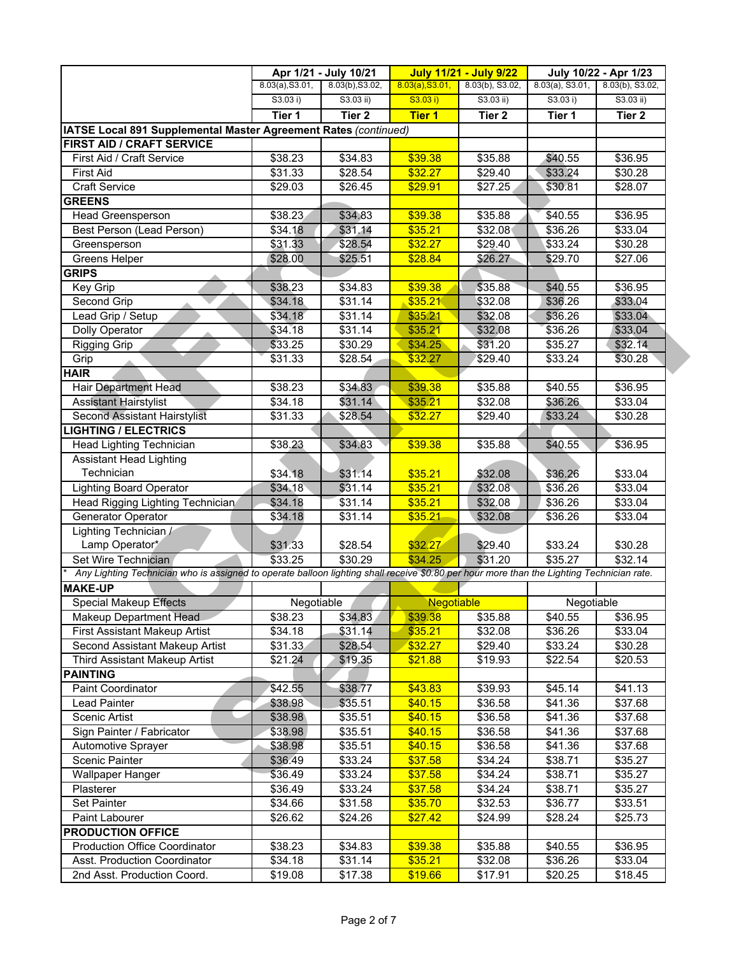|                                                                                                                                           |                 | Apr 1/21 - July 10/21 |                 | <b>July 11/21 - July 9/22</b><br>July 10/22 - Apr 1/23 |                    |                    |
|-------------------------------------------------------------------------------------------------------------------------------------------|-----------------|-----------------------|-----------------|--------------------------------------------------------|--------------------|--------------------|
|                                                                                                                                           | 8.03(a), S3.01, | 8.03(b), S3.02,       | 8.03(a), S3.01, | 8.03(b), S3.02,                                        | $8.03(a)$ , S3.01, | 8.03(b), S3.02,    |
|                                                                                                                                           | S3.03 i)        | $S3.03$ ii)           | S3.03 i)        | $S3.03$ ii)                                            | S3.03 i)           | $S3.03$ ii)        |
|                                                                                                                                           | Tier 1          | Tier <sub>2</sub>     | <b>Tier 1</b>   | Tier <sub>2</sub>                                      | Tier 1             | Tier <sub>2</sub>  |
| IATSE Local 891 Supplemental Master Agreement Rates (continued)                                                                           |                 |                       |                 |                                                        |                    |                    |
| <b>FIRST AID / CRAFT SERVICE</b>                                                                                                          |                 |                       |                 |                                                        |                    |                    |
| First Aid / Craft Service                                                                                                                 | \$38.23         | \$34.83               | \$39.38         | \$35.88                                                | \$40.55            | \$36.95            |
| <b>First Aid</b>                                                                                                                          | \$31.33         | \$28.54               | \$32.27         | \$29.40                                                | \$33.24            | \$30.28            |
| <b>Craft Service</b>                                                                                                                      | \$29.03         | \$26.45               | \$29.91         | \$27.25                                                | \$30.81            | \$28.07            |
| <b>GREENS</b>                                                                                                                             |                 |                       |                 |                                                        |                    |                    |
| <b>Head Greensperson</b>                                                                                                                  | \$38.23         | \$34.83               | \$39.38         | \$35.88                                                | \$40.55            | \$36.95            |
| Best Person (Lead Person)                                                                                                                 | \$34.18         | \$31.14               | \$35.21         | \$32.08                                                | \$36.26            | \$33.04            |
| Greensperson                                                                                                                              | \$31.33         | \$28.54               | \$32.27         | \$29.40                                                | \$33.24            | \$30.28            |
| Greens Helper                                                                                                                             | \$28.00         | \$25.51               | \$28.84         | \$26.27                                                | \$29.70            | \$27.06            |
| <b>GRIPS</b>                                                                                                                              |                 |                       |                 |                                                        |                    |                    |
| Key Grip                                                                                                                                  | \$38.23         | \$34.83               | \$39.38         | \$35.88                                                | \$40.55            | \$36.95            |
| Second Grip                                                                                                                               | \$34.18         | \$31.14               | \$35.21         | \$32.08                                                | \$36.26            | \$33.04            |
| Lead Grip / Setup                                                                                                                         | \$34.18         | \$31.14               | \$35.21         | \$32.08                                                | \$36.26            | \$33.04            |
| Dolly Operator                                                                                                                            | \$34.18         | \$31.14               | \$35.21         | \$32.08                                                | \$36.26            | \$33.04            |
| <b>Rigging Grip</b>                                                                                                                       | \$33.25         | \$30.29               | \$34.25         | $\overline{$31.20}$                                    | \$35.27            | \$32.14            |
| Grip                                                                                                                                      | \$31.33         | \$28.54               | \$32.27         | \$29.40                                                | \$33.24            | \$30.28            |
| <b>HAIR</b>                                                                                                                               |                 |                       |                 |                                                        |                    |                    |
| <b>Hair Department Head</b>                                                                                                               | \$38.23         | \$34.83               | \$39.38         | \$35.88                                                | \$40.55            | \$36.95            |
| <b>Assistant Hairstylist</b>                                                                                                              | \$34.18         | \$31.14               | \$35.21         | \$32.08                                                | \$36.26            | \$33.04            |
| <b>Second Assistant Hairstylist</b>                                                                                                       | \$31.33         | \$28.54               | \$32.27         | \$29.40                                                | \$33.24            | \$30.28            |
| <b>LIGHTING / ELECTRICS</b>                                                                                                               |                 |                       |                 |                                                        |                    |                    |
| Head Lighting Technician                                                                                                                  | \$38.23         | \$34.83               | \$39.38         | \$35.88                                                | \$40.55            | \$36.95            |
| <b>Assistant Head Lighting</b>                                                                                                            |                 |                       |                 |                                                        |                    |                    |
| Technician                                                                                                                                | \$34.18         | \$31.14               | \$35.21         | \$32.08                                                | \$36.26            | \$33.04            |
| <b>Lighting Board Operator</b>                                                                                                            | \$34.18         | \$31.14               | \$35.21         | \$32.08                                                | \$36.26            | \$33.04            |
| Head Rigging Lighting Technician                                                                                                          | \$34.18         | \$31.14               | \$35.21         | \$32.08                                                | \$36.26            | \$33.04            |
| Generator Operator                                                                                                                        | \$34.18         | \$31.14               | \$35.21         | \$32.08                                                | \$36.26            | \$33.04            |
| Lighting Technician /                                                                                                                     |                 |                       |                 |                                                        |                    |                    |
| Lamp Operator*                                                                                                                            | \$31.33         | \$28.54               | \$32.27         | \$29.40                                                | \$33.24            | \$30.28            |
| Set Wire Technician                                                                                                                       | \$33.25         | \$30.29               | \$34.25         | \$31.20                                                | \$35.27            | \$32.14            |
| Any Lighting Technician who is assigned to operate balloon lighting shall receive \$0.80 per hour more than the Lighting Technician rate. |                 |                       |                 |                                                        |                    |                    |
| <b>MAKE-UP</b>                                                                                                                            |                 |                       |                 |                                                        |                    |                    |
| <b>Special Makeup Effects</b>                                                                                                             |                 |                       | Negotiable      |                                                        | Negotiable         |                    |
|                                                                                                                                           | Negotiable      |                       |                 |                                                        |                    |                    |
| Makeup Department Head                                                                                                                    | \$38.23         | \$34.83               | \$39.38         | \$35.88<br>\$32.08                                     | \$40.55            | \$36.95<br>\$33.04 |
| First Assistant Makeup Artist                                                                                                             | \$34.18         | \$31.14               | \$35.21         |                                                        | \$36.26            |                    |
| Second Assistant Makeup Artist                                                                                                            | \$31.33         | \$28.54               | \$32.27         | \$29.40                                                | \$33.24            | \$30.28            |
| Third Assistant Makeup Artist                                                                                                             | \$21.24         | \$19.35               | \$21.88         | \$19.93                                                | \$22.54            | \$20.53            |
| <b>PAINTING</b>                                                                                                                           |                 |                       |                 |                                                        |                    |                    |
| <b>Paint Coordinator</b>                                                                                                                  | \$42.55         | \$38.77               | \$43.83         | \$39.93                                                | \$45.14            | \$41.13            |
| Lead Painter                                                                                                                              | \$38.98         | \$35.51               | \$40.15         | \$36.58                                                | \$41.36            | \$37.68            |
| Scenic Artist                                                                                                                             | \$38.98         | \$35.51               | \$40.15         | \$36.58                                                | \$41.36            | \$37.68            |
| Sign Painter / Fabricator                                                                                                                 | \$38.98         | \$35.51               | \$40.15         | \$36.58                                                | \$41.36            | \$37.68            |
| Automotive Sprayer                                                                                                                        | \$38.98         | $\overline{$}35.51$   | \$40.15         | \$36.58                                                | \$41.36            | \$37.68            |
| <b>Scenic Painter</b>                                                                                                                     | \$36.49         | \$33.24               | \$37.58         | \$34.24                                                | \$38.71            | \$35.27            |
| Wallpaper Hanger                                                                                                                          | \$36.49         | \$33.24               | \$37.58         | \$34.24                                                | \$38.71            | \$35.27            |
| Plasterer                                                                                                                                 | \$36.49         | \$33.24               | \$37.58         | \$34.24                                                | \$38.71            | \$35.27            |
| Set Painter                                                                                                                               | \$34.66         | \$31.58               | \$35.70         | \$32.53                                                | \$36.77            | \$33.51            |
| Paint Labourer                                                                                                                            | \$26.62         | \$24.26               | \$27.42         | \$24.99                                                | \$28.24            | \$25.73            |
| <b>PRODUCTION OFFICE</b>                                                                                                                  |                 |                       |                 |                                                        |                    |                    |
| <b>Production Office Coordinator</b>                                                                                                      | \$38.23         | \$34.83               | \$39.38         | \$35.88                                                | \$40.55            | \$36.95            |
| Asst. Production Coordinator                                                                                                              | \$34.18         | \$31.14               | \$35.21         | \$32.08                                                | \$36.26            | \$33.04            |
| 2nd Asst. Production Coord.                                                                                                               | \$19.08         | \$17.38               | \$19.66         | \$17.91                                                | \$20.25            | \$18.45            |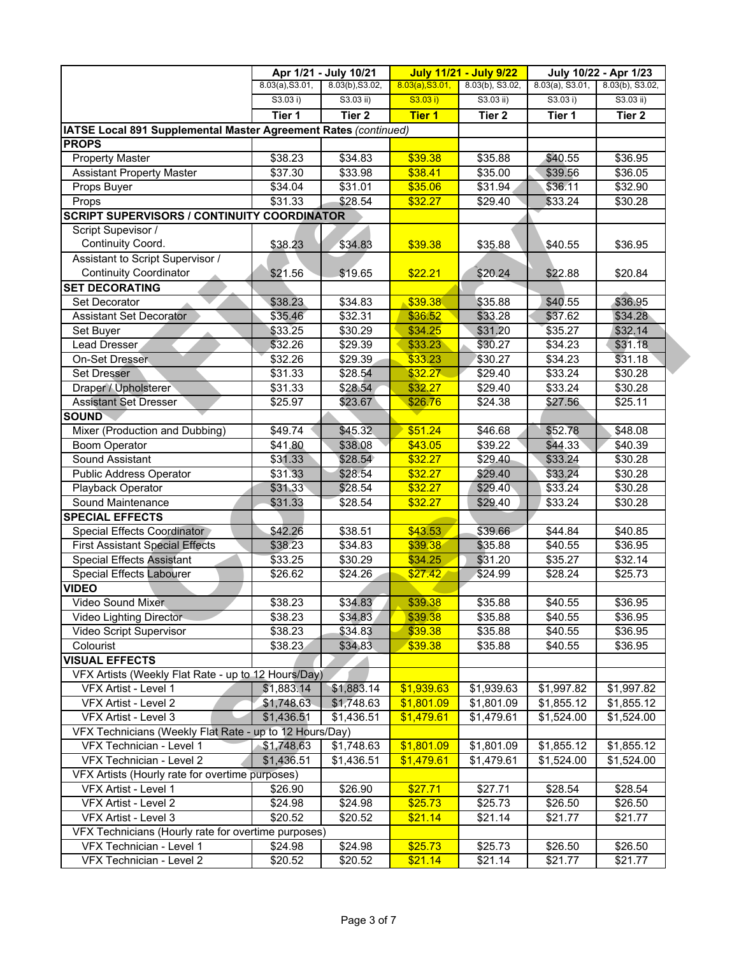|                                                                 |                 | Apr 1/21 - July 10/21 |                 | <b>July 11/21 - July 9/22</b> |                    | July 10/22 - Apr 1/23 |
|-----------------------------------------------------------------|-----------------|-----------------------|-----------------|-------------------------------|--------------------|-----------------------|
|                                                                 | 8.03(a), S3.01, | 8.03(b), S3.02,       | 8.03(a), S3.01, | 8.03(b), S3.02,               | $8.03(a)$ , S3.01, | 8.03(b), S3.02,       |
|                                                                 | S3.03 i)        | $S3.03$ ii)           | S3.03 i)        | $S3.03$ ii)                   | S3.03 i)           | $S3.03$ ii)           |
|                                                                 | Tier 1          | Tier <sub>2</sub>     | <b>Tier 1</b>   | Tier 2                        | Tier 1             | Tier 2                |
| IATSE Local 891 Supplemental Master Agreement Rates (continued) |                 |                       |                 |                               |                    |                       |
| <b>PROPS</b>                                                    |                 |                       |                 |                               |                    |                       |
| <b>Property Master</b>                                          | \$38.23         | \$34.83               | \$39.38         | \$35.88                       | \$40.55            | \$36.95               |
| <b>Assistant Property Master</b>                                | \$37.30         | \$33.98               | \$38.41         | \$35.00                       | \$39.56            | \$36.05               |
| Props Buyer                                                     | \$34.04         | \$31.01               | \$35.06         | \$31.94                       | \$36.11            | \$32.90               |
| Props                                                           | \$31.33         | \$28.54               | \$32.27         | \$29.40                       | \$33.24            | \$30.28               |
| <b>SCRIPT SUPERVISORS / CONTINUITY COORDINATOR</b>              |                 |                       |                 |                               |                    |                       |
| Script Supevisor /                                              |                 |                       |                 |                               |                    |                       |
| Continuity Coord.                                               | \$38.23         | \$34.83               | \$39.38         | \$35.88                       | \$40.55            | \$36.95               |
| Assistant to Script Supervisor /                                |                 |                       |                 |                               |                    |                       |
| <b>Continuity Coordinator</b>                                   | \$21.56         | \$19.65               | \$22.21         | \$20.24                       | \$22.88            | \$20.84               |
| <b>SET DECORATING</b>                                           |                 |                       |                 |                               |                    |                       |
| Set Decorator                                                   | \$38.23         | \$34.83               | \$39.38         | \$35.88                       | \$40.55            | \$36.95               |
| <b>Assistant Set Decorator</b>                                  | \$35.46         | \$32.31               | \$36.52         | \$33.28                       | \$37.62            | \$34.28               |
| Set Buyer                                                       | \$33.25         | \$30.29               | \$34.25         | \$31.20                       | \$35.27            | \$32.14               |
| Lead Dresser                                                    | \$32.26         | \$29.39               | \$33.23         | \$30.27                       | \$34.23            | \$31.18               |
| On-Set Dresser                                                  | \$32.26         | \$29.39               | \$33.23         | \$30.27                       | \$34.23            | \$31.18               |
| Set Dresser                                                     | \$31.33         | \$28.54               | \$32.27         | \$29.40                       | \$33.24            | \$30.28               |
| Draper / Upholsterer                                            | \$31.33         | \$28.54               | \$32.27         | \$29.40                       | \$33.24            | \$30.28               |
| <b>Assistant Set Dresser</b>                                    | \$25.97         | \$23.67               | \$26.76         | \$24.38                       | \$27.56            | \$25.11               |
| <b>SOUND</b>                                                    |                 |                       |                 |                               |                    |                       |
| Mixer (Production and Dubbing)                                  | \$49.74         | \$45.32               | \$51.24         | \$46.68                       | \$52.78            | \$48.08               |
| <b>Boom Operator</b>                                            | \$41.80         | \$38.08               | \$43.05         | \$39.22                       | \$44.33            | \$40.39               |
| Sound Assistant                                                 | \$31.33         | \$28.54               | \$32.27         | \$29.40                       | \$33.24            | \$30.28               |
| <b>Public Address Operator</b>                                  | \$31.33         | \$28.54               | \$32.27         | \$29.40                       | \$33.24            | \$30.28               |
| Playback Operator                                               | \$31.33         | \$28.54               | \$32.27         | \$29.40                       | \$33.24            | $\overline{$}30.28$   |
| Sound Maintenance                                               | \$31.33         | \$28.54               | \$32.27         | \$29.40                       | \$33.24            | \$30.28               |
| <b>SPECIAL EFFECTS</b>                                          |                 |                       |                 |                               |                    |                       |
| Special Effects Coordinator                                     | \$42.26         | \$38.51               | \$43.53         | \$39.66                       | \$44.84            | \$40.85               |
| <b>First Assistant Special Effects</b>                          | \$38.23         | $\overline{$}34.83$   | \$39.38         | \$35.88                       | \$40.55            | \$36.95               |
| <b>Special Effects Assistant</b>                                | \$33.25         | \$30.29               | \$34.25         | \$31.20                       | \$35.27            | \$32.14               |
| <b>Special Effects Labourer</b>                                 | \$26.62         | \$24.26               | \$27.42         | \$24.99                       | \$28.24            | \$25.73               |
| <b>VIDEO</b>                                                    |                 |                       |                 |                               |                    |                       |
| Video Sound Mixer                                               | \$38.23         | \$34.83               | \$39.38         | \$35.88                       | \$40.55            | \$36.95               |
| Video Lighting Director                                         | \$38.23         | \$34.83               | \$39.38         | \$35.88                       | \$40.55            | \$36.95               |
| Video Script Supervisor                                         | \$38.23         | \$34.83               | \$39.38         | \$35.88                       | \$40.55            | \$36.95               |
| Colourist                                                       | \$38.23         | \$34.83               | \$39.38         | \$35.88                       | \$40.55            | \$36.95               |
| <b>VISUAL EFFECTS</b>                                           |                 |                       |                 |                               |                    |                       |
| VFX Artists (Weekly Flat Rate - up to 12 Hours/Day)             |                 |                       |                 |                               |                    |                       |
| VFX Artist - Level 1                                            | \$1,883.14      | \$1,883.14            | \$1,939.63      | \$1,939.63                    | \$1,997.82         | \$1,997.82            |
| VFX Artist - Level 2                                            | \$1,748.63      | \$1,748.63            | \$1,801.09      | \$1,801.09                    | \$1,855.12         | \$1,855.12            |
| VFX Artist - Level 3                                            | \$1,436.51      | \$1,436.51            | \$1,479.61      | \$1,479.61                    | \$1,524.00         | \$1,524.00            |
| VFX Technicians (Weekly Flat Rate - up to 12 Hours/Day)         |                 |                       |                 |                               |                    |                       |
| VFX Technician - Level 1                                        | \$1,748.63      | \$1,748.63            | \$1,801.09      | \$1,801.09                    | \$1,855.12         | \$1,855.12            |
| VFX Technician - Level 2                                        | \$1,436.51      | \$1,436.51            | \$1,479.61      | \$1,479.61                    | \$1,524.00         | \$1,524.00            |
| VFX Artists (Hourly rate for overtime purposes)                 |                 |                       |                 |                               |                    |                       |
| VFX Artist - Level 1                                            | \$26.90         | \$26.90               | \$27.71         | \$27.71                       | \$28.54            | \$28.54               |
| VFX Artist - Level 2                                            | \$24.98         | \$24.98               | \$25.73         | \$25.73                       | \$26.50            | \$26.50               |
| VFX Artist - Level 3                                            | \$20.52         | \$20.52               | \$21.14         | \$21.14                       | \$21.77            | \$21.77               |
| VFX Technicians (Hourly rate for overtime purposes)             |                 |                       |                 |                               |                    |                       |
| VFX Technician - Level 1                                        | \$24.98         | \$24.98               | \$25.73         | \$25.73                       | \$26.50            | \$26.50               |
|                                                                 |                 |                       |                 |                               |                    |                       |
| VFX Technician - Level 2                                        | \$20.52         | \$20.52               | \$21.14         | \$21.14                       | \$21.77            | \$21.77               |